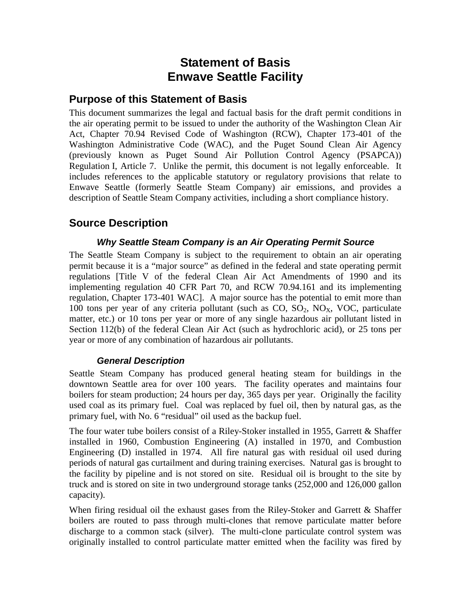# **Statement of Basis Enwave Seattle Facility**

## **Purpose of this Statement of Basis**

This document summarizes the legal and factual basis for the draft permit conditions in the air operating permit to be issued to under the authority of the Washington Clean Air Act, Chapter 70.94 Revised Code of Washington (RCW), Chapter 173-401 of the Washington Administrative Code (WAC), and the Puget Sound Clean Air Agency (previously known as Puget Sound Air Pollution Control Agency (PSAPCA)) Regulation I, Article 7. Unlike the permit, this document is not legally enforceable. It includes references to the applicable statutory or regulatory provisions that relate to Enwave Seattle (formerly Seattle Steam Company) air emissions, and provides a description of Seattle Steam Company activities, including a short compliance history.

## **Source Description**

## *Why Seattle Steam Company is an Air Operating Permit Source*

The Seattle Steam Company is subject to the requirement to obtain an air operating permit because it is a "major source" as defined in the federal and state operating permit regulations [Title V of the federal Clean Air Act Amendments of 1990 and its implementing regulation 40 CFR Part 70, and RCW 70.94.161 and its implementing regulation, Chapter 173-401 WAC]. A major source has the potential to emit more than 100 tons per year of any criteria pollutant (such as  $CO$ ,  $SO_2$ ,  $NO<sub>X</sub>$ , VOC, particulate matter, etc.) or 10 tons per year or more of any single hazardous air pollutant listed in Section 112(b) of the federal Clean Air Act (such as hydrochloric acid), or 25 tons per year or more of any combination of hazardous air pollutants.

## *General Description*

Seattle Steam Company has produced general heating steam for buildings in the downtown Seattle area for over 100 years. The facility operates and maintains four boilers for steam production; 24 hours per day, 365 days per year. Originally the facility used coal as its primary fuel. Coal was replaced by fuel oil, then by natural gas, as the primary fuel, with No. 6 "residual" oil used as the backup fuel.

The four water tube boilers consist of a Riley-Stoker installed in 1955, Garrett & Shaffer installed in 1960, Combustion Engineering (A) installed in 1970, and Combustion Engineering (D) installed in 1974. All fire natural gas with residual oil used during periods of natural gas curtailment and during training exercises. Natural gas is brought to the facility by pipeline and is not stored on site. Residual oil is brought to the site by truck and is stored on site in two underground storage tanks (252,000 and 126,000 gallon capacity).

When firing residual oil the exhaust gases from the Riley-Stoker and Garrett & Shaffer boilers are routed to pass through multi-clones that remove particulate matter before discharge to a common stack (silver). The multi-clone particulate control system was originally installed to control particulate matter emitted when the facility was fired by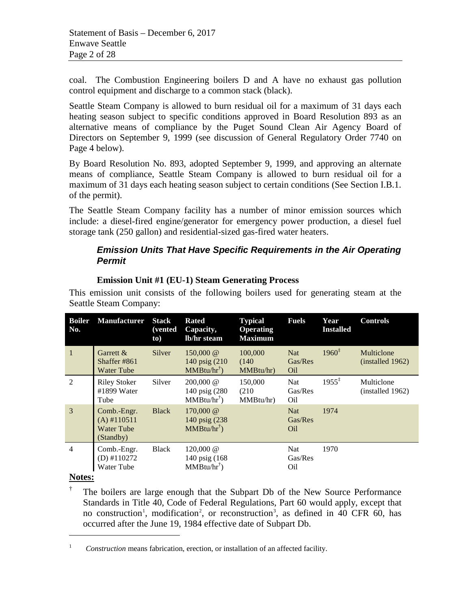coal. The Combustion Engineering boilers D and A have no exhaust gas pollution control equipment and discharge to a common stack (black).

Seattle Steam Company is allowed to burn residual oil for a maximum of 31 days each heating season subject to specific conditions approved in Board Resolution 893 as an alternative means of compliance by the Puget Sound Clean Air Agency Board of Directors on September 9, 1999 (see discussion of General Regulatory Order 7740 on Page [4](#page-3-0) [below\)](#page-3-0).

By Board Resolution No. 893, adopted September 9, 1999, and approving an alternate means of compliance, Seattle Steam Company is allowed to burn residual oil for a maximum of 31 days each heating season subject to certain conditions (See Section I.B.1. of the permit).

The Seattle Steam Company facility has a number of minor emission sources which include: a diesel-fired engine/generator for emergency power production, a diesel fuel storage tank (250 gallon) and residential-sized gas-fired water heaters.

## *Emission Units That Have Specific Requirements in the Air Operating Permit*

| <b>Boiler</b><br>No. | <b>Manufacturer</b>                                            | <b>Stack</b><br><i>(vented)</i><br>to) | <b>Rated</b><br>Capacity,<br>lb/hr steam                                | <b>Typical</b><br><b>Operating</b><br><b>Maximum</b> | <b>Fuels</b>                             | Year<br><b>Installed</b> | <b>Controls</b>                |
|----------------------|----------------------------------------------------------------|----------------------------------------|-------------------------------------------------------------------------|------------------------------------------------------|------------------------------------------|--------------------------|--------------------------------|
| $\mathbf{1}$         | Garrett $&$<br>Shaffer #861<br><b>Water Tube</b>               | Silver                                 | 150,000 $@$<br>140 psig (210)<br>$MMBtu/hr^{\dagger})$                  | 100,000<br>(140)<br>MMBtu/hr)                        | <b>Nat</b><br>Gas/Res<br>Oil             | $1960^{\ddagger}$        | Multiclone<br>(installed 1962) |
| 2                    | <b>Riley Stoker</b><br>#1899 Water<br>Tube                     | Silver                                 | $200,000 \; \textcircled{a}$<br>140 psig (280)<br>$MMBtu/hr^{\dagger})$ | 150,000<br>(210)<br>MMBtu/hr)                        | Nat<br>Gas/Res<br>O <sub>il</sub>        | $1955^{\ddagger}$        | Multiclone<br>(installed 1962) |
| $\overline{3}$       | Comb.-Engr.<br>$(A)$ #110511<br><b>Water Tube</b><br>(Standby) | <b>Black</b>                           | 170,000 $@$<br>140 psig (238)<br>$MMBtu/hr^{\dagger})$                  |                                                      | <b>Nat</b><br>Gas/Res<br>O <sub>il</sub> | 1974                     |                                |
| $\overline{4}$       | Comb.-Engr.<br>$(D)$ #110272<br>Water Tube                     | <b>Black</b>                           | 120,000 $@$<br>140 psig (168)<br>$MMBtu/hr^{\dagger})$                  |                                                      | Nat<br>Gas/Res<br>Oil                    | 1970                     |                                |

#### **Emission Unit #1 (EU-1) Steam Generating Process**

This emission unit consists of the following boilers used for generating steam at the Seattle Steam Company:

## <span id="page-1-1"></span>**Notes:**

 $\overline{a}$ 

<span id="page-1-2"></span>† The boilers are large enough that the Subpart Db of the New Source Performance Standards in Title 40, Code of Federal Regulations, Part 60 would apply, except that no construction<sup>[1](#page-1-0)</sup>, modification<sup>[2](#page-1-1)</sup>, or reconstruction<sup>[3](#page-1-2)</sup>, as defined in 40 CFR 60, has occurred after the June 19, 1984 effective date of Subpart Db.

<span id="page-1-0"></span><sup>&</sup>lt;sup>1</sup> *Construction* means fabrication, erection, or installation of an affected facility.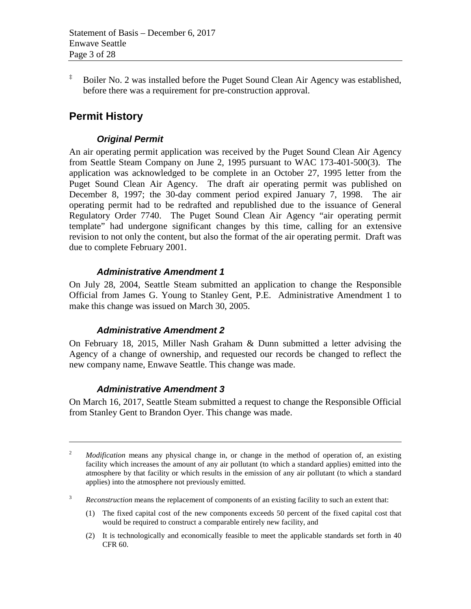$\ddot{\text{F}}$  Boiler No. 2 was installed before the Puget Sound Clean Air Agency was established, before there was a requirement for pre-construction approval.

## **Permit History**

 $\overline{a}$ 

## *Original Permit*

An air operating permit application was received by the Puget Sound Clean Air Agency from Seattle Steam Company on June 2, 1995 pursuant to WAC 173-401-500(3). The application was acknowledged to be complete in an October 27, 1995 letter from the Puget Sound Clean Air Agency. The draft air operating permit was published on December 8, 1997; the 30-day comment period expired January 7, 1998. The air operating permit had to be redrafted and republished due to the issuance of General Regulatory Order 7740. The Puget Sound Clean Air Agency "air operating permit template" had undergone significant changes by this time, calling for an extensive revision to not only the content, but also the format of the air operating permit. Draft was due to complete February 2001.

## *Administrative Amendment 1*

On July 28, 2004, Seattle Steam submitted an application to change the Responsible Official from James G. Young to Stanley Gent, P.E. Administrative Amendment 1 to make this change was issued on March 30, 2005.

#### *Administrative Amendment 2*

On February 18, 2015, Miller Nash Graham & Dunn submitted a letter advising the Agency of a change of ownership, and requested our records be changed to reflect the new company name, Enwave Seattle. This change was made.

## *Administrative Amendment 3*

On March 16, 2017, Seattle Steam submitted a request to change the Responsible Official from Stanley Gent to Brandon Oyer. This change was made.

- (1) The fixed capital cost of the new components exceeds 50 percent of the fixed capital cost that would be required to construct a comparable entirely new facility, and
- (2) It is technologically and economically feasible to meet the applicable standards set forth in 40 CFR 60.

<sup>&</sup>lt;sup>2</sup> *Modification* means any physical change in, or change in the method of operation of, an existing facility which increases the amount of any air pollutant (to which a standard applies) emitted into the atmosphere by that facility or which results in the emission of any air pollutant (to which a standard applies) into the atmosphere not previously emitted.

<sup>3</sup> *Reconstruction* means the replacement of components of an existing facility to such an extent that: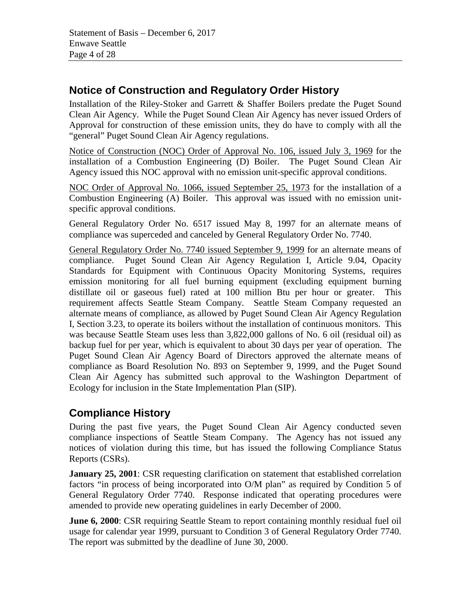## **Notice of Construction and Regulatory Order History**

Installation of the Riley-Stoker and Garrett & Shaffer Boilers predate the Puget Sound Clean Air Agency. While the Puget Sound Clean Air Agency has never issued Orders of Approval for construction of these emission units, they do have to comply with all the "general" Puget Sound Clean Air Agency regulations.

Notice of Construction (NOC) Order of Approval No. 106, issued July 3, 1969 for the installation of a Combustion Engineering (D) Boiler. The Puget Sound Clean Air Agency issued this NOC approval with no emission unit-specific approval conditions.

NOC Order of Approval No. 1066, issued September 25, 1973 for the installation of a Combustion Engineering (A) Boiler. This approval was issued with no emission unitspecific approval conditions.

General Regulatory Order No. 6517 issued May 8, 1997 for an alternate means of compliance was superceded and canceled by General Regulatory Order No. 7740.

<span id="page-3-0"></span>General Regulatory Order No. 7740 issued September 9, 1999 for an alternate means of compliance. Puget Sound Clean Air Agency Regulation I, Article 9.04, Opacity Standards for Equipment with Continuous Opacity Monitoring Systems, requires emission monitoring for all fuel burning equipment (excluding equipment burning distillate oil or gaseous fuel) rated at 100 million Btu per hour or greater. This requirement affects Seattle Steam Company. Seattle Steam Company requested an alternate means of compliance, as allowed by Puget Sound Clean Air Agency Regulation I, Section 3.23, to operate its boilers without the installation of continuous monitors. This was because Seattle Steam uses less than 3,822,000 gallons of No. 6 oil (residual oil) as backup fuel for per year, which is equivalent to about 30 days per year of operation. The Puget Sound Clean Air Agency Board of Directors approved the alternate means of compliance as Board Resolution No. 893 on September 9, 1999, and the Puget Sound Clean Air Agency has submitted such approval to the Washington Department of Ecology for inclusion in the State Implementation Plan (SIP).

# **Compliance History**

During the past five years, the Puget Sound Clean Air Agency conducted seven compliance inspections of Seattle Steam Company. The Agency has not issued any notices of violation during this time, but has issued the following Compliance Status Reports (CSRs).

**January 25, 2001**: CSR requesting clarification on statement that established correlation factors "in process of being incorporated into O/M plan" as required by Condition 5 of General Regulatory Order 7740. Response indicated that operating procedures were amended to provide new operating guidelines in early December of 2000.

**June 6, 2000**: CSR requiring Seattle Steam to report containing monthly residual fuel oil usage for calendar year 1999, pursuant to Condition 3 of General Regulatory Order 7740. The report was submitted by the deadline of June 30, 2000.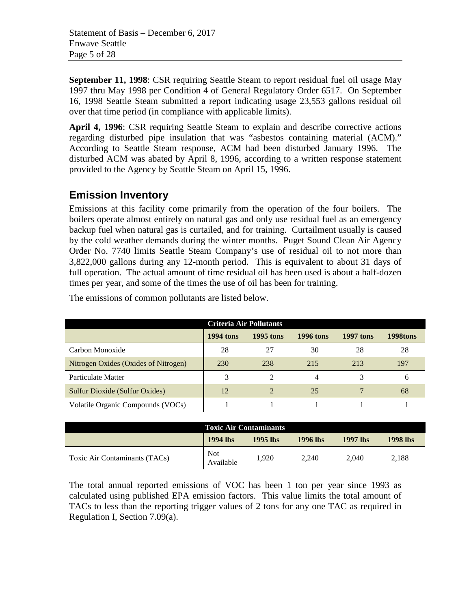Statement of Basis – December 6, 2017 Enwave Seattle Page 5 of 28

**September 11, 1998:** CSR requiring Seattle Steam to report residual fuel oil usage May 1997 thru May 1998 per Condition 4 of General Regulatory Order 6517. On September 16, 1998 Seattle Steam submitted a report indicating usage 23,553 gallons residual oil over that time period (in compliance with applicable limits).

**April 4, 1996**: CSR requiring Seattle Steam to explain and describe corrective actions regarding disturbed pipe insulation that was "asbestos containing material (ACM)." According to Seattle Steam response, ACM had been disturbed January 1996. The disturbed ACM was abated by April 8, 1996, according to a written response statement provided to the Agency by Seattle Steam on April 15, 1996.

## **Emission Inventory**

Emissions at this facility come primarily from the operation of the four boilers. The boilers operate almost entirely on natural gas and only use residual fuel as an emergency backup fuel when natural gas is curtailed, and for training. Curtailment usually is caused by the cold weather demands during the winter months. Puget Sound Clean Air Agency Order No. 7740 limits Seattle Steam Company's use of residual oil to not more than 3,822,000 gallons during any 12-month period. This is equivalent to about 31 days of full operation. The actual amount of time residual oil has been used is about a half-dozen times per year, and some of the times the use of oil has been for training.

| Criteria Air Pollutants              |                  |                             |                  |                  |          |
|--------------------------------------|------------------|-----------------------------|------------------|------------------|----------|
|                                      | <b>1994</b> tons | <b>1995</b> tons            | <b>1996 tons</b> | <b>1997 tons</b> | 1998tons |
| Carbon Monoxide                      | 28               | 27                          | 30               | 28               | 28       |
| Nitrogen Oxides (Oxides of Nitrogen) | 230              | 238                         | 215              | 213              | 197      |
| Particulate Matter                   |                  |                             | 4                |                  |          |
| Sulfur Dioxide (Sulfur Oxides)       | 12               | $\mathcal{D}_{\mathcal{L}}$ | 25               |                  | 68       |
| Volatile Organic Compounds (VOCs)    |                  |                             |                  |                  |          |

The emissions of common pollutants are listed below.

| <b>Toxic Air Contaminants</b> |                         |          |          |          |          |
|-------------------------------|-------------------------|----------|----------|----------|----------|
|                               | 1994 lbs                | 1995 lbs | 1996 lbs | 1997 lbs | 1998 lbs |
| Toxic Air Contaminants (TACs) | <b>Not</b><br>Available | 1.920    | 2,240    | 2,040    | 2,188    |

The total annual reported emissions of VOC has been 1 ton per year since 1993 as calculated using published EPA emission factors. This value limits the total amount of TACs to less than the reporting trigger values of 2 tons for any one TAC as required in Regulation I, Section 7.09(a).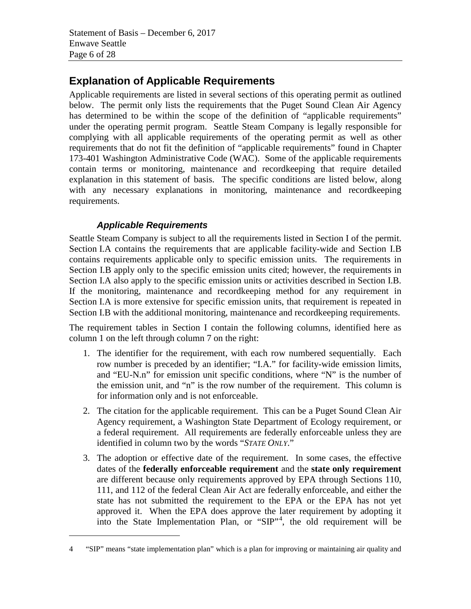# **Explanation of Applicable Requirements**

Applicable requirements are listed in several sections of this operating permit as outlined below. The permit only lists the requirements that the Puget Sound Clean Air Agency has determined to be within the scope of the definition of "applicable requirements" under the operating permit program. Seattle Steam Company is legally responsible for complying with all applicable requirements of the operating permit as well as other requirements that do not fit the definition of "applicable requirements" found in Chapter 173-401 Washington Administrative Code (WAC). Some of the applicable requirements contain terms or monitoring, maintenance and recordkeeping that require detailed explanation in this statement of basis. The specific conditions are listed below, along with any necessary explanations in monitoring, maintenance and recordkeeping requirements.

## *Applicable Requirements*

 $\overline{a}$ 

Seattle Steam Company is subject to all the requirements listed in Section I of the permit. Section I.A contains the requirements that are applicable facility-wide and Section I.B contains requirements applicable only to specific emission units. The requirements in Section I.B apply only to the specific emission units cited; however, the requirements in Section I.A also apply to the specific emission units or activities described in Section I.B. If the monitoring, maintenance and recordkeeping method for any requirement in Section I.A is more extensive for specific emission units, that requirement is repeated in Section I.B with the additional monitoring, maintenance and recordkeeping requirements.

The requirement tables in Section I contain the following columns, identified here as column 1 on the left through column 7 on the right:

- 1. The identifier for the requirement, with each row numbered sequentially. Each row number is preceded by an identifier; "I.A." for facility-wide emission limits, and "EU-N.n" for emission unit specific conditions, where "N" is the number of the emission unit, and "n" is the row number of the requirement. This column is for information only and is not enforceable.
- 2. The citation for the applicable requirement. This can be a Puget Sound Clean Air Agency requirement, a Washington State Department of Ecology requirement, or a federal requirement. All requirements are federally enforceable unless they are identified in column two by the words "*STATE ONLY*."
- 3. The adoption or effective date of the requirement. In some cases, the effective dates of the **federally enforceable requirement** and the **state only requirement**  are different because only requirements approved by EPA through Sections 110, 111, and 112 of the federal Clean Air Act are federally enforceable, and either the state has not submitted the requirement to the EPA or the EPA has not yet approved it. When the EPA does approve the later requirement by adopting it into the State Implementation Plan, or "SIP"<sup>[4](#page-5-0)</sup>, the old requirement will be

<span id="page-5-0"></span><sup>4</sup> "SIP" means "state implementation plan" which is a plan for improving or maintaining air quality and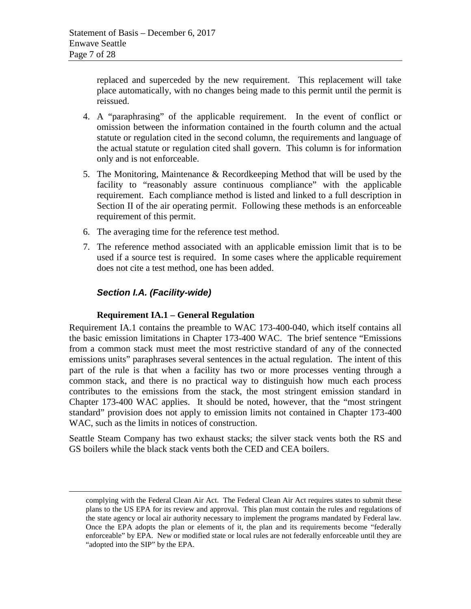replaced and superceded by the new requirement. This replacement will take place automatically, with no changes being made to this permit until the permit is reissued.

- 4. A "paraphrasing" of the applicable requirement. In the event of conflict or omission between the information contained in the fourth column and the actual statute or regulation cited in the second column, the requirements and language of the actual statute or regulation cited shall govern. This column is for information only and is not enforceable.
- 5. The Monitoring, Maintenance & Recordkeeping Method that will be used by the facility to "reasonably assure continuous compliance" with the applicable requirement. Each compliance method is listed and linked to a full description in Section II of the air operating permit. Following these methods is an enforceable requirement of this permit.
- 6. The averaging time for the reference test method.
- 7. The reference method associated with an applicable emission limit that is to be used if a source test is required. In some cases where the applicable requirement does not cite a test method, one has been added.

## *Section I.A. (Facility-wide)*

 $\overline{a}$ 

#### **Requirement IA.1 – General Regulation**

Requirement IA.1 contains the preamble to WAC 173-400-040, which itself contains all the basic emission limitations in Chapter 173-400 WAC. The brief sentence "Emissions from a common stack must meet the most restrictive standard of any of the connected emissions units" paraphrases several sentences in the actual regulation. The intent of this part of the rule is that when a facility has two or more processes venting through a common stack, and there is no practical way to distinguish how much each process contributes to the emissions from the stack, the most stringent emission standard in Chapter 173-400 WAC applies. It should be noted, however, that the "most stringent standard" provision does not apply to emission limits not contained in Chapter 173-400 WAC, such as the limits in notices of construction.

Seattle Steam Company has two exhaust stacks; the silver stack vents both the RS and GS boilers while the black stack vents both the CED and CEA boilers.

complying with the Federal Clean Air Act. The Federal Clean Air Act requires states to submit these plans to the US EPA for its review and approval. This plan must contain the rules and regulations of the state agency or local air authority necessary to implement the programs mandated by Federal law. Once the EPA adopts the plan or elements of it, the plan and its requirements become "federally enforceable" by EPA. New or modified state or local rules are not federally enforceable until they are "adopted into the SIP" by the EPA.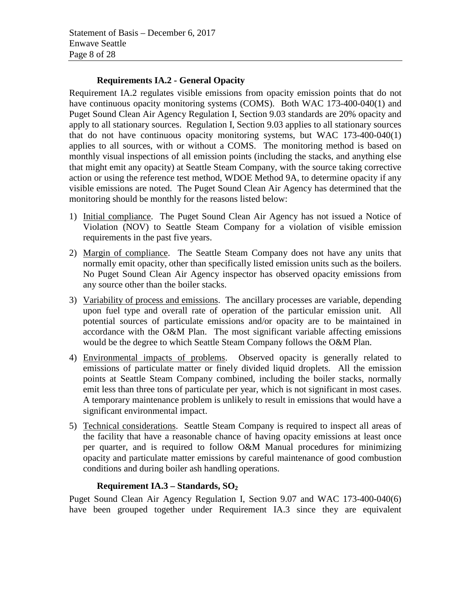## **Requirements IA.2 - General Opacity**

Requirement IA.2 regulates visible emissions from opacity emission points that do not have continuous opacity monitoring systems (COMS). Both WAC 173-400-040(1) and Puget Sound Clean Air Agency Regulation I, Section 9.03 standards are 20% opacity and apply to all stationary sources. Regulation I, Section 9.03 applies to all stationary sources that do not have continuous opacity monitoring systems, but WAC 173-400-040(1) applies to all sources, with or without a COMS. The monitoring method is based on monthly visual inspections of all emission points (including the stacks, and anything else that might emit any opacity) at Seattle Steam Company, with the source taking corrective action or using the reference test method, WDOE Method 9A, to determine opacity if any visible emissions are noted. The Puget Sound Clean Air Agency has determined that the monitoring should be monthly for the reasons listed below:

- 1) Initial compliance. The Puget Sound Clean Air Agency has not issued a Notice of Violation (NOV) to Seattle Steam Company for a violation of visible emission requirements in the past five years.
- 2) Margin of compliance. The Seattle Steam Company does not have any units that normally emit opacity, other than specifically listed emission units such as the boilers. No Puget Sound Clean Air Agency inspector has observed opacity emissions from any source other than the boiler stacks.
- 3) Variability of process and emissions. The ancillary processes are variable, depending upon fuel type and overall rate of operation of the particular emission unit. All potential sources of particulate emissions and/or opacity are to be maintained in accordance with the O&M Plan. The most significant variable affecting emissions would be the degree to which Seattle Steam Company follows the O&M Plan.
- 4) Environmental impacts of problems. Observed opacity is generally related to emissions of particulate matter or finely divided liquid droplets. All the emission points at Seattle Steam Company combined, including the boiler stacks, normally emit less than three tons of particulate per year, which is not significant in most cases. A temporary maintenance problem is unlikely to result in emissions that would have a significant environmental impact.
- 5) Technical considerations. Seattle Steam Company is required to inspect all areas of the facility that have a reasonable chance of having opacity emissions at least once per quarter, and is required to follow O&M Manual procedures for minimizing opacity and particulate matter emissions by careful maintenance of good combustion conditions and during boiler ash handling operations.

## **Requirement IA.3 – Standards, SO2**

Puget Sound Clean Air Agency Regulation I, Section 9.07 and WAC 173-400-040(6) have been grouped together under Requirement IA.3 since they are equivalent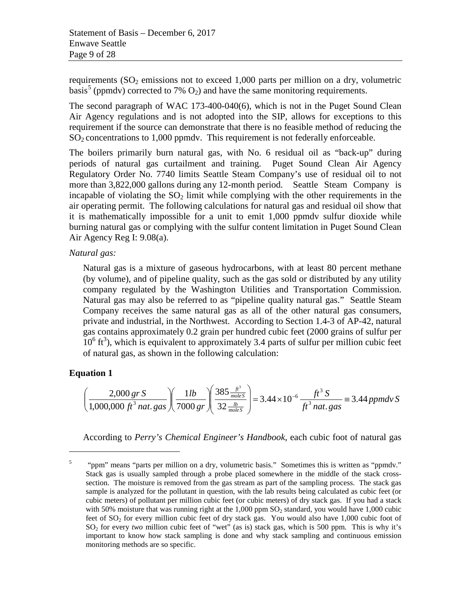requirements  $(SO<sub>2</sub>$  emissions not to exceed 1,000 parts per million on a dry, volumetric basis<sup>[5](#page-8-0)</sup> (ppmdy) corrected to 7%  $O_2$ ) and have the same monitoring requirements.

The second paragraph of WAC 173-400-040(6), which is not in the Puget Sound Clean Air Agency regulations and is not adopted into the SIP, allows for exceptions to this requirement if the source can demonstrate that there is no feasible method of reducing the  $SO<sub>2</sub>$  concentrations to 1,000 ppmdv. This requirement is not federally enforceable.

The boilers primarily burn natural gas, with No. 6 residual oil as "back-up" during periods of natural gas curtailment and training. Puget Sound Clean Air Agency Regulatory Order No. 7740 limits Seattle Steam Company's use of residual oil to not more than 3,822,000 gallons during any 12-month period. Seattle Steam Company is incapable of violating the  $SO<sub>2</sub>$  limit while complying with the other requirements in the air operating permit. The following calculations for natural gas and residual oil show that it is mathematically impossible for a unit to emit 1,000 ppmdv sulfur dioxide while burning natural gas or complying with the sulfur content limitation in Puget Sound Clean Air Agency Reg I: 9.08(a).

#### *Natural gas:*

Natural gas is a mixture of gaseous hydrocarbons, with at least 80 percent methane (by volume), and of pipeline quality, such as the gas sold or distributed by any utility company regulated by the Washington Utilities and Transportation Commission. Natural gas may also be referred to as "pipeline quality natural gas." Seattle Steam Company receives the same natural gas as all of the other natural gas consumers, private and industrial, in the Northwest. According to Section 1.4-3 of AP-42, natural gas contains approximately 0.2 grain per hundred cubic feet (2000 grains of sulfur per  $10^6$  ft<sup>3</sup>), which is equivalent to approximately 3.4 parts of sulfur per million cubic feet of natural gas, as shown in the following calculation:

## **Equation 1**

 $\overline{a}$ 

$$
\left(\frac{2,000 \text{ gr S}}{1,000,000 \text{ ft}^3 \text{ nat. gas}}\right) \left(\frac{1 lb}{7000 \text{ gr}}\right) \left(\frac{385 \frac{ft^3}{mole S}}{32 \frac{lb}{mole S}}\right) = 3.44 \times 10^{-6} \frac{ft^3 S}{ft^3 \text{ nat. gas}} = 3.44 \text{ ppmdv S}
$$

According to *Perry's Chemical Engineer's Handbook*, each cubic foot of natural gas

<span id="page-8-0"></span><sup>&</sup>lt;sup>5</sup> "ppm" means "parts per million on a dry, volumetric basis." Sometimes this is written as "ppmdy." Stack gas is usually sampled through a probe placed somewhere in the middle of the stack crosssection. The moisture is removed from the gas stream as part of the sampling process. The stack gas sample is analyzed for the pollutant in question, with the lab results being calculated as cubic feet (or cubic meters) of pollutant per million cubic feet (or cubic meters) of dry stack gas. If you had a stack with 50% moisture that was running right at the  $1,000$  ppm  $SO<sub>2</sub>$  standard, you would have 1,000 cubic feet of  $SO<sub>2</sub>$  for every million cubic feet of dry stack gas. You would also have 1,000 cubic foot of SO2 for every *two* million cubic feet of "wet" (as is) stack gas, which is 500 ppm. This is why it's important to know how stack sampling is done and why stack sampling and continuous emission monitoring methods are so specific.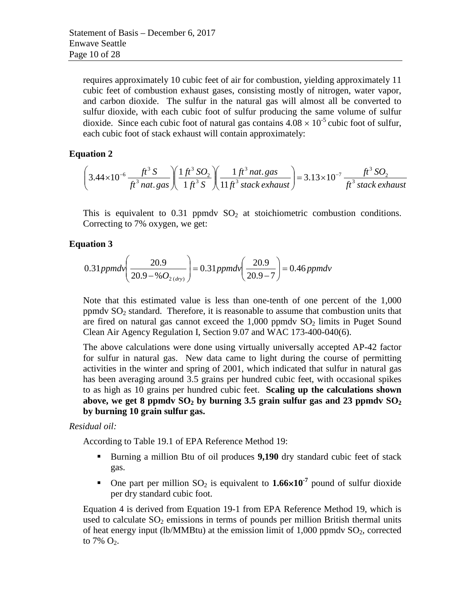requires approximately 10 cubic feet of air for combustion, yielding approximately 11 cubic feet of combustion exhaust gases, consisting mostly of nitrogen, water vapor, and carbon dioxide. The sulfur in the natural gas will almost all be converted to sulfur dioxide, with each cubic foot of sulfur producing the same volume of sulfur dioxide. Since each cubic foot of natural gas contains  $4.08 \times 10^{-5}$  cubic foot of sulfur, each cubic foot of stack exhaust will contain approximately:

### **Equation 2**

$$
\left(3.44 \times 10^{-6} \frac{ft^3 S}{ft^3 n at. gas}\right) \left(\frac{1 ft^3 SO_2}{1 ft^3 S}\right) \left(\frac{1 ft^3 n at. gas}{11 ft^3 stack exhaust}\right) = 3.13 \times 10^{-7} \frac{ft^3 SO_2}{ft^3 stack exhaust}
$$

This is equivalent to  $0.31$  ppmdv  $SO<sub>2</sub>$  at stoichiometric combustion conditions. Correcting to 7% oxygen, we get:

### **Equation 3**

$$
0.31 ppm dv \bigg(\frac{20.9}{20.9 - %O_{2(dry)}}\bigg) = 0.31 ppm dv \bigg(\frac{20.9}{20.9 - 7}\bigg) = 0.46 ppm dv
$$

Note that this estimated value is less than one-tenth of one percent of the 1,000 ppmdv  $SO<sub>2</sub>$  standard. Therefore, it is reasonable to assume that combustion units that are fired on natural gas cannot exceed the  $1,000$  ppmdv  $SO<sub>2</sub>$  limits in Puget Sound Clean Air Agency Regulation I, Section 9.07 and WAC 173-400-040(6).

The above calculations were done using virtually universally accepted AP-42 factor for sulfur in natural gas. New data came to light during the course of permitting activities in the winter and spring of 2001, which indicated that sulfur in natural gas has been averaging around 3.5 grains per hundred cubic feet, with occasional spikes to as high as 10 grains per hundred cubic feet. **Scaling up the calculations shown**  above, we get 8 ppmdy  $SO_2$  by burning 3.5 grain sulfur gas and 23 ppmdy  $SO_2$ **by burning 10 grain sulfur gas.**

#### *Residual oil:*

According to Table 19.1 of EPA Reference Method 19:

- Burning a million Btu of oil produces **9,190** dry standard cubic feet of stack gas.
- One part per million  $SO_2$  is equivalent to  $1.66 \times 10^{-7}$  pound of sulfur dioxide per dry standard cubic foot.

[Equation 4](#page-10-0) is derived from Equation 19-1 from EPA Reference Method 19, which is used to calculate  $SO_2$  emissions in terms of pounds per million British thermal units of heat energy input (lb/MMBtu) at the emission limit of  $1,000$  ppmdv  $SO<sub>2</sub>$ , corrected to 7%  $O_2$ .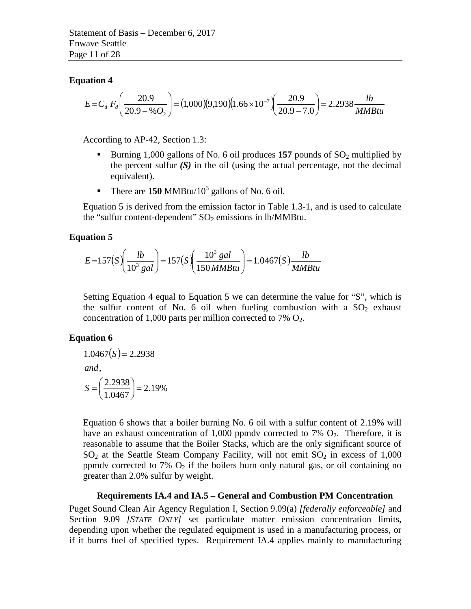#### <span id="page-10-0"></span>**Equation 4**

$$
E = C_d F_d \left( \frac{20.9}{20.9 - \% O_2} \right) = (1,000)(9,190)(1.66 \times 10^{-7}) \left( \frac{20.9}{20.9 - 7.0} \right) = 2.2938 \frac{lb}{MMBtu}
$$

According to AP-42, Section 1.3:

- Burning 1,000 gallons of No. 6 oil produces  $157$  pounds of  $SO_2$  multiplied by the percent sulfur  $(S)$  in the oil (using the actual percentage, not the decimal equivalent).
- There are  $150$  MMBtu/ $10^3$  gallons of No. 6 oil.

[Equation 5](#page-10-1) is derived from the emission factor in Table 1.3-1, and is used to calculate the "sulfur content-dependent"  $SO_2$  emissions in lb/MMBtu.

#### <span id="page-10-1"></span>**Equation 5**

$$
E = 157(S) \left(\frac{lb}{10^3 gal}\right) = 157(S) \left(\frac{10^3 gal}{150 M M B t u}\right) = 1.0467(S) \frac{lb}{M M B t u}
$$

Setting [Equation 4](#page-10-0) equal to [Equation 5](#page-10-1) we can determine the value for "S", which is the sulfur content of No. 6 oil when fueling combustion with a  $SO_2$  exhaust concentration of 1,000 parts per million corrected to 7%  $O_2$ .

#### <span id="page-10-2"></span>**Equation 6**

$$
1.0467(S) = 2.2938
$$
  
and,  

$$
S = \left(\frac{2.2938}{1.0467}\right) = 2.19\%
$$

[Equation 6](#page-10-2) shows that a boiler burning No. 6 oil with a sulfur content of 2.19% will have an exhaust concentration of 1,000 ppmdy corrected to 7%  $O_2$ . Therefore, it is reasonable to assume that the Boiler Stacks, which are the only significant source of  $SO<sub>2</sub>$  at the Seattle Steam Company Facility, will not emit  $SO<sub>2</sub>$  in excess of 1,000 ppmdv corrected to 7%  $O_2$  if the boilers burn only natural gas, or oil containing no greater than 2.0% sulfur by weight.

#### **Requirements IA.4 and IA.5 – General and Combustion PM Concentration**

Puget Sound Clean Air Agency Regulation I, Section 9.09(a) *[federally enforceable]* and Section 9.09 *[STATE ONLY]* set particulate matter emission concentration limits, depending upon whether the regulated equipment is used in a manufacturing process, or if it burns fuel of specified types. Requirement IA.4 applies mainly to manufacturing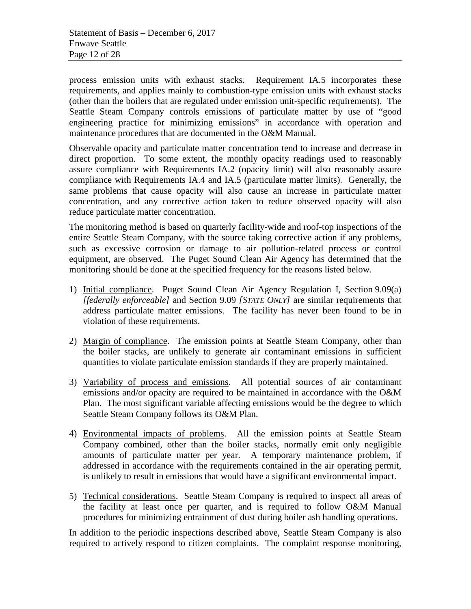process emission units with exhaust stacks. Requirement IA.5 incorporates these requirements, and applies mainly to combustion-type emission units with exhaust stacks (other than the boilers that are regulated under emission unit-specific requirements). The Seattle Steam Company controls emissions of particulate matter by use of "good engineering practice for minimizing emissions" in accordance with operation and maintenance procedures that are documented in the O&M Manual.

Observable opacity and particulate matter concentration tend to increase and decrease in direct proportion. To some extent, the monthly opacity readings used to reasonably assure compliance with Requirements IA.2 (opacity limit) will also reasonably assure compliance with Requirements IA.4 and IA.5 (particulate matter limits). Generally, the same problems that cause opacity will also cause an increase in particulate matter concentration, and any corrective action taken to reduce observed opacity will also reduce particulate matter concentration.

The monitoring method is based on quarterly facility-wide and roof-top inspections of the entire Seattle Steam Company, with the source taking corrective action if any problems, such as excessive corrosion or damage to air pollution-related process or control equipment, are observed. The Puget Sound Clean Air Agency has determined that the monitoring should be done at the specified frequency for the reasons listed below.

- 1) Initial compliance. Puget Sound Clean Air Agency Regulation I, Section 9.09(a) *[federally enforceable]* and Section 9.09 *[STATE ONLY]* are similar requirements that address particulate matter emissions. The facility has never been found to be in violation of these requirements.
- 2) Margin of compliance. The emission points at Seattle Steam Company, other than the boiler stacks, are unlikely to generate air contaminant emissions in sufficient quantities to violate particulate emission standards if they are properly maintained.
- 3) Variability of process and emissions. All potential sources of air contaminant emissions and/or opacity are required to be maintained in accordance with the O&M Plan. The most significant variable affecting emissions would be the degree to which Seattle Steam Company follows its O&M Plan.
- 4) Environmental impacts of problems. All the emission points at Seattle Steam Company combined, other than the boiler stacks, normally emit only negligible amounts of particulate matter per year. A temporary maintenance problem, if addressed in accordance with the requirements contained in the air operating permit, is unlikely to result in emissions that would have a significant environmental impact.
- 5) Technical considerations. Seattle Steam Company is required to inspect all areas of the facility at least once per quarter, and is required to follow O&M Manual procedures for minimizing entrainment of dust during boiler ash handling operations.

In addition to the periodic inspections described above, Seattle Steam Company is also required to actively respond to citizen complaints. The complaint response monitoring,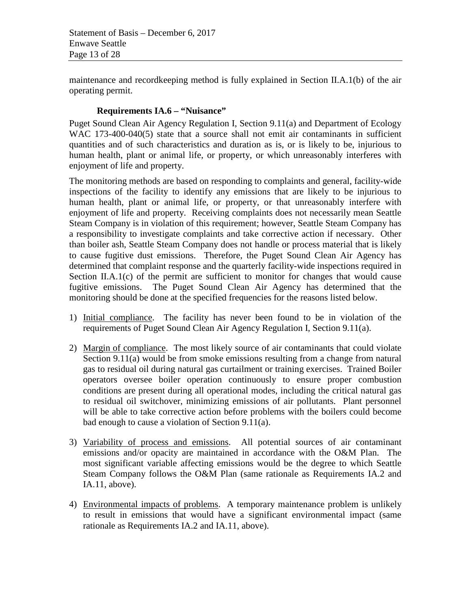Statement of Basis – December 6, 2017 Enwave Seattle Page 13 of 28

maintenance and recordkeeping method is fully explained in Section II.A.1(b) of the air operating permit.

### **Requirements IA.6 – "Nuisance"**

Puget Sound Clean Air Agency Regulation I, Section 9.11(a) and Department of Ecology WAC 173-400-040(5) state that a source shall not emit air contaminants in sufficient quantities and of such characteristics and duration as is, or is likely to be, injurious to human health, plant or animal life, or property, or which unreasonably interferes with enjoyment of life and property.

The monitoring methods are based on responding to complaints and general, facility-wide inspections of the facility to identify any emissions that are likely to be injurious to human health, plant or animal life, or property, or that unreasonably interfere with enjoyment of life and property. Receiving complaints does not necessarily mean Seattle Steam Company is in violation of this requirement; however, Seattle Steam Company has a responsibility to investigate complaints and take corrective action if necessary. Other than boiler ash, Seattle Steam Company does not handle or process material that is likely to cause fugitive dust emissions. Therefore, the Puget Sound Clean Air Agency has determined that complaint response and the quarterly facility-wide inspections required in Section II.A.1(c) of the permit are sufficient to monitor for changes that would cause fugitive emissions. The Puget Sound Clean Air Agency has determined that the monitoring should be done at the specified frequencies for the reasons listed below.

- 1) Initial compliance. The facility has never been found to be in violation of the requirements of Puget Sound Clean Air Agency Regulation I, Section 9.11(a).
- 2) Margin of compliance. The most likely source of air contaminants that could violate Section 9.11(a) would be from smoke emissions resulting from a change from natural gas to residual oil during natural gas curtailment or training exercises. Trained Boiler operators oversee boiler operation continuously to ensure proper combustion conditions are present during all operational modes, including the critical natural gas to residual oil switchover, minimizing emissions of air pollutants. Plant personnel will be able to take corrective action before problems with the boilers could become bad enough to cause a violation of Section 9.11(a).
- 3) Variability of process and emissions. All potential sources of air contaminant emissions and/or opacity are maintained in accordance with the O&M Plan. The most significant variable affecting emissions would be the degree to which Seattle Steam Company follows the O&M Plan (same rationale as Requirements IA.2 and IA.11, above).
- 4) Environmental impacts of problems. A temporary maintenance problem is unlikely to result in emissions that would have a significant environmental impact (same rationale as Requirements IA.2 and IA.11, above).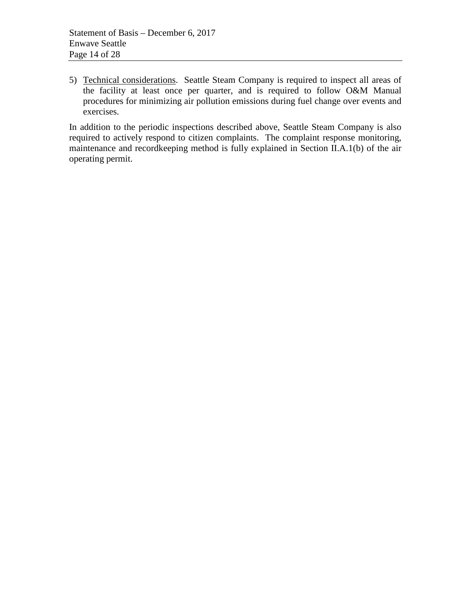5) Technical considerations. Seattle Steam Company is required to inspect all areas of the facility at least once per quarter, and is required to follow O&M Manual procedures for minimizing air pollution emissions during fuel change over events and exercises.

In addition to the periodic inspections described above, Seattle Steam Company is also required to actively respond to citizen complaints. The complaint response monitoring, maintenance and recordkeeping method is fully explained in Section II.A.1(b) of the air operating permit.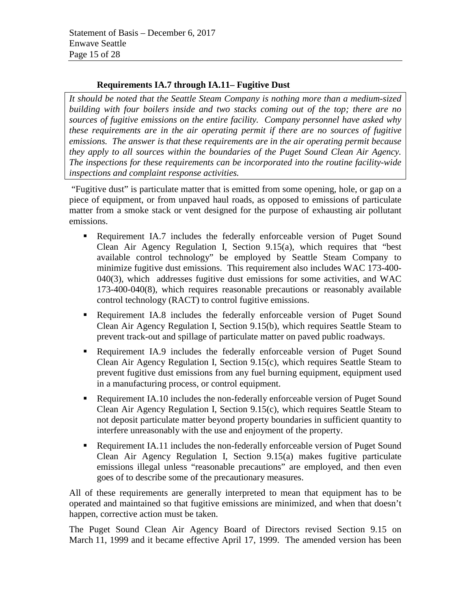## **Requirements IA.7 through IA.11– Fugitive Dust**

*It should be noted that the Seattle Steam Company is nothing more than a medium-sized building with four boilers inside and two stacks coming out of the top; there are no sources of fugitive emissions on the entire facility. Company personnel have asked why these requirements are in the air operating permit if there are no sources of fugitive emissions. The answer is that these requirements are in the air operating permit because they apply to all sources within the boundaries of the Puget Sound Clean Air Agency. The inspections for these requirements can be incorporated into the routine facility-wide inspections and complaint response activities.*

"Fugitive dust" is particulate matter that is emitted from some opening, hole, or gap on a piece of equipment, or from unpaved haul roads, as opposed to emissions of particulate matter from a smoke stack or vent designed for the purpose of exhausting air pollutant emissions.

- Requirement IA.7 includes the federally enforceable version of Puget Sound Clean Air Agency Regulation I, Section 9.15(a), which requires that "best available control technology" be employed by Seattle Steam Company to minimize fugitive dust emissions. This requirement also includes WAC 173-400- 040(3), which addresses fugitive dust emissions for some activities, and WAC 173-400-040(8), which requires reasonable precautions or reasonably available control technology (RACT) to control fugitive emissions.
- Requirement IA.8 includes the federally enforceable version of Puget Sound Clean Air Agency Regulation I, Section 9.15(b), which requires Seattle Steam to prevent track-out and spillage of particulate matter on paved public roadways.
- Requirement IA.9 includes the federally enforceable version of Puget Sound Clean Air Agency Regulation I, Section 9.15(c), which requires Seattle Steam to prevent fugitive dust emissions from any fuel burning equipment, equipment used in a manufacturing process, or control equipment.
- Requirement IA.10 includes the non-federally enforceable version of Puget Sound Clean Air Agency Regulation I, Section 9.15(c), which requires Seattle Steam to not deposit particulate matter beyond property boundaries in sufficient quantity to interfere unreasonably with the use and enjoyment of the property.
- Requirement IA.11 includes the non-federally enforceable version of Puget Sound Clean Air Agency Regulation I, Section 9.15(a) makes fugitive particulate emissions illegal unless "reasonable precautions" are employed, and then even goes of to describe some of the precautionary measures.

All of these requirements are generally interpreted to mean that equipment has to be operated and maintained so that fugitive emissions are minimized, and when that doesn't happen, corrective action must be taken.

The Puget Sound Clean Air Agency Board of Directors revised Section 9.15 on March 11, 1999 and it became effective April 17, 1999. The amended version has been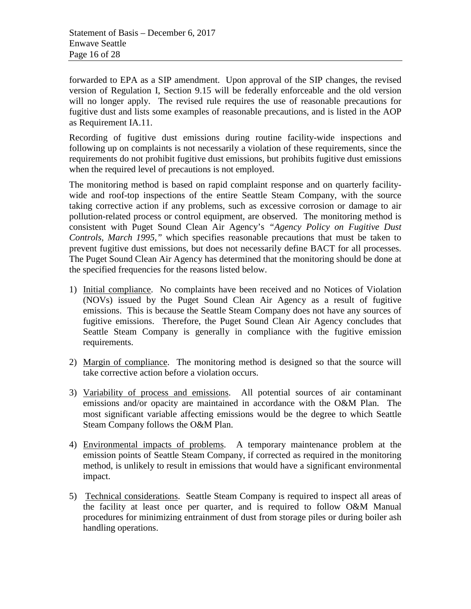forwarded to EPA as a SIP amendment. Upon approval of the SIP changes, the revised version of Regulation I, Section 9.15 will be federally enforceable and the old version will no longer apply. The revised rule requires the use of reasonable precautions for fugitive dust and lists some examples of reasonable precautions, and is listed in the AOP as Requirement IA.11.

Recording of fugitive dust emissions during routine facility-wide inspections and following up on complaints is not necessarily a violation of these requirements, since the requirements do not prohibit fugitive dust emissions, but prohibits fugitive dust emissions when the required level of precautions is not employed.

The monitoring method is based on rapid complaint response and on quarterly facilitywide and roof-top inspections of the entire Seattle Steam Company, with the source taking corrective action if any problems, such as excessive corrosion or damage to air pollution-related process or control equipment, are observed. The monitoring method is consistent with Puget Sound Clean Air Agency's *"Agency Policy on Fugitive Dust Controls, March 1995,"* which specifies reasonable precautions that must be taken to prevent fugitive dust emissions, but does not necessarily define BACT for all processes. The Puget Sound Clean Air Agency has determined that the monitoring should be done at the specified frequencies for the reasons listed below.

- 1) Initial compliance. No complaints have been received and no Notices of Violation (NOVs) issued by the Puget Sound Clean Air Agency as a result of fugitive emissions. This is because the Seattle Steam Company does not have any sources of fugitive emissions. Therefore, the Puget Sound Clean Air Agency concludes that Seattle Steam Company is generally in compliance with the fugitive emission requirements.
- 2) Margin of compliance. The monitoring method is designed so that the source will take corrective action before a violation occurs.
- 3) Variability of process and emissions. All potential sources of air contaminant emissions and/or opacity are maintained in accordance with the O&M Plan. The most significant variable affecting emissions would be the degree to which Seattle Steam Company follows the O&M Plan.
- 4) Environmental impacts of problems. A temporary maintenance problem at the emission points of Seattle Steam Company, if corrected as required in the monitoring method, is unlikely to result in emissions that would have a significant environmental impact.
- 5) Technical considerations. Seattle Steam Company is required to inspect all areas of the facility at least once per quarter, and is required to follow O&M Manual procedures for minimizing entrainment of dust from storage piles or during boiler ash handling operations.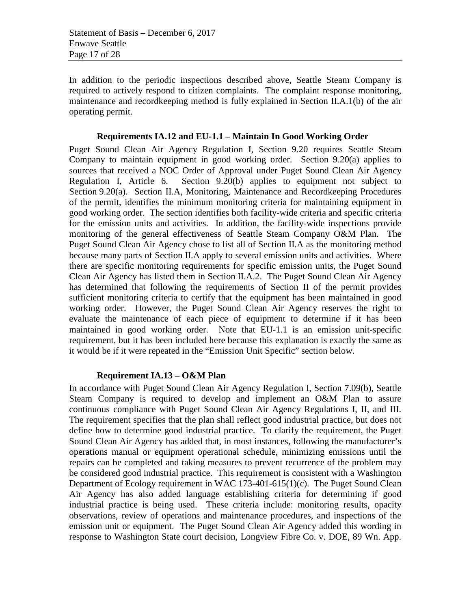In addition to the periodic inspections described above, Seattle Steam Company is required to actively respond to citizen complaints. The complaint response monitoring, maintenance and recordkeeping method is fully explained in Section II.A.1(b) of the air operating permit.

#### **Requirements IA.12 and EU-1.1 – Maintain In Good Working Order**

Puget Sound Clean Air Agency Regulation I, Section 9.20 requires Seattle Steam Company to maintain equipment in good working order. Section 9.20(a) applies to sources that received a NOC Order of Approval under Puget Sound Clean Air Agency Regulation I, Article 6. Section 9.20(b) applies to equipment not subject to Section 9.20(a). Section II.A, Monitoring, Maintenance and Recordkeeping Procedures of the permit, identifies the minimum monitoring criteria for maintaining equipment in good working order. The section identifies both facility-wide criteria and specific criteria for the emission units and activities. In addition, the facility-wide inspections provide monitoring of the general effectiveness of Seattle Steam Company O&M Plan. The Puget Sound Clean Air Agency chose to list all of Section II.A as the monitoring method because many parts of Section II.A apply to several emission units and activities. Where there are specific monitoring requirements for specific emission units, the Puget Sound Clean Air Agency has listed them in Section II.A.2. The Puget Sound Clean Air Agency has determined that following the requirements of Section II of the permit provides sufficient monitoring criteria to certify that the equipment has been maintained in good working order. However, the Puget Sound Clean Air Agency reserves the right to evaluate the maintenance of each piece of equipment to determine if it has been maintained in good working order. Note that EU-1.1 is an emission unit-specific requirement, but it has been included here because this explanation is exactly the same as it would be if it were repeated in the "Emission Unit Specific" section below.

#### **Requirement IA.13 – O&M Plan**

In accordance with Puget Sound Clean Air Agency Regulation I, Section 7.09(b), Seattle Steam Company is required to develop and implement an O&M Plan to assure continuous compliance with Puget Sound Clean Air Agency Regulations I, II, and III. The requirement specifies that the plan shall reflect good industrial practice, but does not define how to determine good industrial practice. To clarify the requirement, the Puget Sound Clean Air Agency has added that, in most instances, following the manufacturer's operations manual or equipment operational schedule, minimizing emissions until the repairs can be completed and taking measures to prevent recurrence of the problem may be considered good industrial practice. This requirement is consistent with a Washington Department of Ecology requirement in WAC 173-401-615(1)(c). The Puget Sound Clean Air Agency has also added language establishing criteria for determining if good industrial practice is being used. These criteria include: monitoring results, opacity observations, review of operations and maintenance procedures, and inspections of the emission unit or equipment. The Puget Sound Clean Air Agency added this wording in response to Washington State court decision, Longview Fibre Co. v. DOE, 89 Wn. App.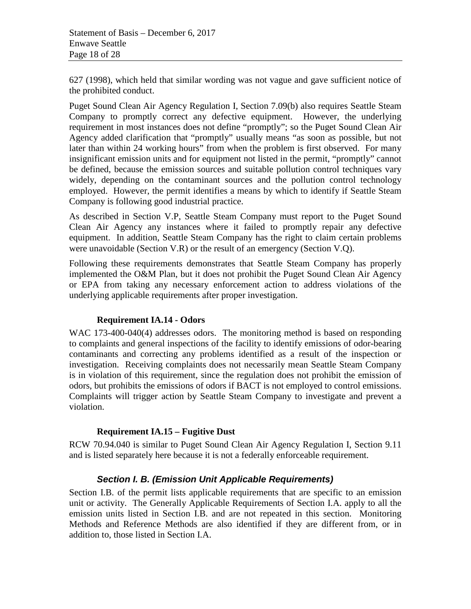627 (1998), which held that similar wording was not vague and gave sufficient notice of the prohibited conduct.

Puget Sound Clean Air Agency Regulation I, Section 7.09(b) also requires Seattle Steam Company to promptly correct any defective equipment. However, the underlying requirement in most instances does not define "promptly"; so the Puget Sound Clean Air Agency added clarification that "promptly" usually means "as soon as possible, but not later than within 24 working hours" from when the problem is first observed. For many insignificant emission units and for equipment not listed in the permit, "promptly" cannot be defined, because the emission sources and suitable pollution control techniques vary widely, depending on the contaminant sources and the pollution control technology employed. However, the permit identifies a means by which to identify if Seattle Steam Company is following good industrial practice.

As described in Section V.P, Seattle Steam Company must report to the Puget Sound Clean Air Agency any instances where it failed to promptly repair any defective equipment. In addition, Seattle Steam Company has the right to claim certain problems were unavoidable (Section V.R) or the result of an emergency (Section V.Q).

Following these requirements demonstrates that Seattle Steam Company has properly implemented the O&M Plan, but it does not prohibit the Puget Sound Clean Air Agency or EPA from taking any necessary enforcement action to address violations of the underlying applicable requirements after proper investigation.

## **Requirement IA.14 - Odors**

WAC 173-400-040(4) addresses odors. The monitoring method is based on responding to complaints and general inspections of the facility to identify emissions of odor-bearing contaminants and correcting any problems identified as a result of the inspection or investigation. Receiving complaints does not necessarily mean Seattle Steam Company is in violation of this requirement, since the regulation does not prohibit the emission of odors, but prohibits the emissions of odors if BACT is not employed to control emissions. Complaints will trigger action by Seattle Steam Company to investigate and prevent a violation.

## **Requirement IA.15 – Fugitive Dust**

RCW 70.94.040 is similar to Puget Sound Clean Air Agency Regulation I, Section 9.11 and is listed separately here because it is not a federally enforceable requirement.

## *Section I. B. (Emission Unit Applicable Requirements)*

Section I.B. of the permit lists applicable requirements that are specific to an emission unit or activity. The Generally Applicable Requirements of Section I.A. apply to all the emission units listed in Section I.B. and are not repeated in this section. Monitoring Methods and Reference Methods are also identified if they are different from, or in addition to, those listed in Section I.A.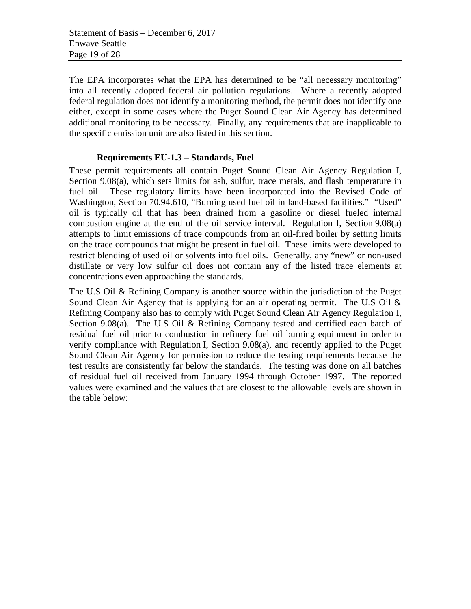The EPA incorporates what the EPA has determined to be "all necessary monitoring" into all recently adopted federal air pollution regulations. Where a recently adopted federal regulation does not identify a monitoring method, the permit does not identify one either, except in some cases where the Puget Sound Clean Air Agency has determined additional monitoring to be necessary. Finally, any requirements that are inapplicable to the specific emission unit are also listed in this section.

### **Requirements EU-1.3 – Standards, Fuel**

These permit requirements all contain Puget Sound Clean Air Agency Regulation I, Section 9.08(a), which sets limits for ash, sulfur, trace metals, and flash temperature in fuel oil. These regulatory limits have been incorporated into the Revised Code of Washington, Section 70.94.610, "Burning used fuel oil in land-based facilities." "Used" oil is typically oil that has been drained from a gasoline or diesel fueled internal combustion engine at the end of the oil service interval. Regulation I, Section 9.08(a) attempts to limit emissions of trace compounds from an oil-fired boiler by setting limits on the trace compounds that might be present in fuel oil. These limits were developed to restrict blending of used oil or solvents into fuel oils. Generally, any "new" or non-used distillate or very low sulfur oil does not contain any of the listed trace elements at concentrations even approaching the standards.

The U.S Oil & Refining Company is another source within the jurisdiction of the Puget Sound Clean Air Agency that is applying for an air operating permit. The U.S Oil & Refining Company also has to comply with Puget Sound Clean Air Agency Regulation I, Section 9.08(a). The U.S Oil & Refining Company tested and certified each batch of residual fuel oil prior to combustion in refinery fuel oil burning equipment in order to verify compliance with Regulation I, Section 9.08(a), and recently applied to the Puget Sound Clean Air Agency for permission to reduce the testing requirements because the test results are consistently far below the standards. The testing was done on all batches of residual fuel oil received from January 1994 through October 1997. The reported values were examined and the values that are closest to the allowable levels are shown in the table below: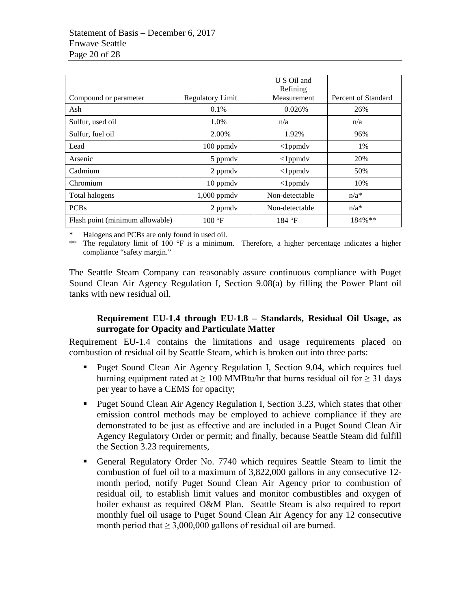|                                 |                         | U S Oil and          |                     |
|---------------------------------|-------------------------|----------------------|---------------------|
|                                 |                         | Refining             |                     |
| Compound or parameter           | <b>Regulatory Limit</b> | Measurement          | Percent of Standard |
| Ash                             | 0.1%                    | 0.026%               | 26%                 |
| Sulfur, used oil                | 1.0%                    | n/a                  | n/a                 |
| Sulfur, fuel oil                | 2.00%                   | 1.92%                | 96%                 |
| Lead                            | $100$ ppmdv             | $\langle$ 1 ppmd $v$ | 1%                  |
| Arsenic                         | 5 ppmdv                 | $\langle$ 1 ppmd $v$ | 20%                 |
| Cadmium                         | 2 ppmdy                 | $\langle$ 1 ppmd $v$ | 50%                 |
| Chromium                        | 10 ppmdv                | $\langle$ 1ppmdv     | 10%                 |
| Total halogens                  | $1,000$ ppmdv           | Non-detectable       | $n/a^*$             |
| <b>PCBs</b>                     | 2 ppmdy                 | Non-detectable       | $n/a^*$             |
| Flash point (minimum allowable) | $100 \text{ °F}$        | 184 °F               | 184%**              |
|                                 |                         |                      |                     |

\* Halogens and PCBs are only found in used oil.

\*\* The regulatory limit of 100 °F is a minimum. Therefore, a higher percentage indicates a higher compliance "safety margin."

The Seattle Steam Company can reasonably assure continuous compliance with Puget Sound Clean Air Agency Regulation I, Section 9.08(a) by filling the Power Plant oil tanks with new residual oil.

## **Requirement EU-1.4 through EU-1.8 – Standards, Residual Oil Usage, as surrogate for Opacity and Particulate Matter**

Requirement EU-1.4 contains the limitations and usage requirements placed on combustion of residual oil by Seattle Steam, which is broken out into three parts:

- **Puget Sound Clean Air Agency Regulation I, Section 9.04, which requires fuel** burning equipment rated at  $\geq 100$  MMBtu/hr that burns residual oil for  $\geq 31$  days per year to have a CEMS for opacity;
- Puget Sound Clean Air Agency Regulation I, Section 3.23, which states that other emission control methods may be employed to achieve compliance if they are demonstrated to be just as effective and are included in a Puget Sound Clean Air Agency Regulatory Order or permit; and finally, because Seattle Steam did fulfill the Section 3.23 requirements,
- General Regulatory Order No. 7740 which requires Seattle Steam to limit the combustion of fuel oil to a maximum of 3,822,000 gallons in any consecutive 12 month period, notify Puget Sound Clean Air Agency prior to combustion of residual oil, to establish limit values and monitor combustibles and oxygen of boiler exhaust as required O&M Plan. Seattle Steam is also required to report monthly fuel oil usage to Puget Sound Clean Air Agency for any 12 consecutive month period that  $> 3,000,000$  gallons of residual oil are burned.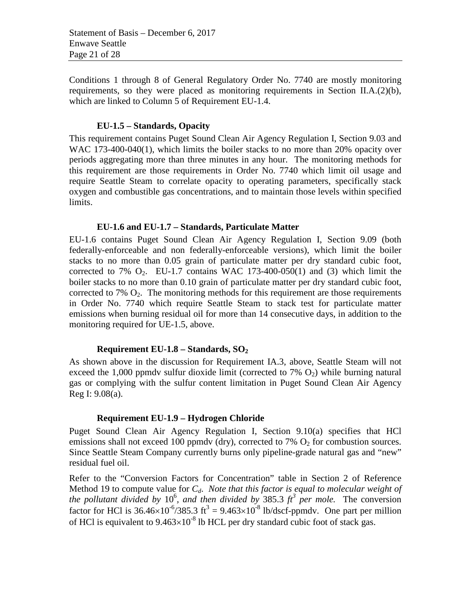Conditions 1 through 8 of General Regulatory Order No. 7740 are mostly monitoring requirements, so they were placed as monitoring requirements in Section II.A. $(2)(b)$ , which are linked to Column 5 of Requirement EU-1.4.

### **EU-1.5 – Standards, Opacity**

This requirement contains Puget Sound Clean Air Agency Regulation I, Section 9.03 and WAC 173-400-040(1), which limits the boiler stacks to no more than 20% opacity over periods aggregating more than three minutes in any hour. The monitoring methods for this requirement are those requirements in Order No. 7740 which limit oil usage and require Seattle Steam to correlate opacity to operating parameters, specifically stack oxygen and combustible gas concentrations, and to maintain those levels within specified limits.

### **EU-1.6 and EU-1.7 – Standards, Particulate Matter**

EU-1.6 contains Puget Sound Clean Air Agency Regulation I, Section 9.09 (both federally-enforceable and non federally-enforceable versions), which limit the boiler stacks to no more than 0.05 grain of particulate matter per dry standard cubic foot, corrected to 7%  $O_2$ . EU-1.7 contains WAC 173-400-050(1) and (3) which limit the boiler stacks to no more than 0.10 grain of particulate matter per dry standard cubic foot, corrected to 7%  $O_2$ . The monitoring methods for this requirement are those requirements in Order No. 7740 which require Seattle Steam to stack test for particulate matter emissions when burning residual oil for more than 14 consecutive days, in addition to the monitoring required for UE-1.5, above.

#### **Requirement EU-1.8 – Standards, SO2**

As shown above in the discussion for Requirement IA.3, above, Seattle Steam will not exceed the 1,000 ppmdy sulfur dioxide limit (corrected to  $7\%$  O<sub>2</sub>) while burning natural gas or complying with the sulfur content limitation in Puget Sound Clean Air Agency Reg I: 9.08(a).

#### **Requirement EU-1.9 – Hydrogen Chloride**

Puget Sound Clean Air Agency Regulation I, Section 9.10(a) specifies that HCl emissions shall not exceed 100 ppmdy (dry), corrected to 7%  $O_2$  for combustion sources. Since Seattle Steam Company currently burns only pipeline-grade natural gas and "new" residual fuel oil.

Refer to the "Conversion Factors for Concentration" table in Section 2 of Reference Method 19 to compute value for  $C_d$ . *Note that this factor is equal to molecular weight of* the pollutant divided by  $10^6$ , and then divided by 385.3  $ft^3$  *per mole*. The conversion factor for HCl is  $36.46 \times 10^{-6} / 385.3$  ft<sup>3</sup> =  $9.463 \times 10^{-8}$  lb/dscf-ppmdv. One part per million of HCl is equivalent to  $9.463 \times 10^{-8}$  lb HCL per dry standard cubic foot of stack gas.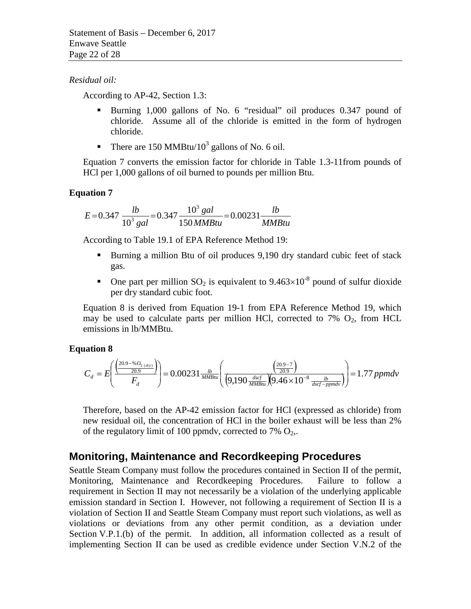#### *Residual oil:*

According to AP-42, Section 1.3:

- Burning 1,000 gallons of No. 6 "residual" oil produces 0.347 pound of chloride. Assume all of the chloride is emitted in the form of hydrogen chloride.
- There are 150 MMBtu/10<sup>3</sup> gallons of No. 6 oil.

[Equation 7](#page-21-0) converts the emission factor for chloride in Table 1.3-11from pounds of HCl per 1,000 gallons of oil burned to pounds per million Btu.

## <span id="page-21-0"></span>**Equation 7**

$$
E = 0.347 \frac{lb}{10^3 gal} = 0.347 \frac{10^3 gal}{150 M M B t u} = 0.00231 \frac{lb}{M M B t u}
$$

According to Table 19.1 of EPA Reference Method 19:

- Burning a million Btu of oil produces 9,190 dry standard cubic feet of stack gas.
- One part per million  $SO_2$  is equivalent to  $9.463 \times 10^{-8}$  pound of sulfur dioxide per dry standard cubic foot.

[Equation 8](#page-21-1) is derived from Equation 19-1 from EPA Reference Method 19, which may be used to calculate parts per million HCl, corrected to  $7\%$  O<sub>2</sub>, from HCL emissions in lb/MMBtu.

## <span id="page-21-1"></span>**Equation 8**

$$
C_d = E \left( \frac{\left( \frac{20.9 - \% O_{2(dry})}{20.9} \right)}{F_d} \right) = 0.00231 \frac{lb}{MMBtu} \left( \frac{\left( \frac{20.9 - 7}{20.9} \right)}{\left( 9.190 \frac{dscf}{MMBtu} \right) \left( 9.46 \times 10^{-8} \frac{lb}{dscf-ppmdv} \right)} \right) = 1.77 ppmdv
$$

Therefore, based on the AP-42 emission factor for HCl (expressed as chloride) from new residual oil, the concentration of HCl in the boiler exhaust will be less than 2% of the regulatory limit of 100 ppmdv, corrected to 7%  $O_2$ ,.

## **Monitoring, Maintenance and Recordkeeping Procedures**

Seattle Steam Company must follow the procedures contained in Section II of the permit, Monitoring, Maintenance and Recordkeeping Procedures. Failure to follow a requirement in Section II may not necessarily be a violation of the underlying applicable emission standard in Section I. However, not following a requirement of Section II is a violation of Section II and Seattle Steam Company must report such violations, as well as violations or deviations from any other permit condition, as a deviation under Section V.P.1.(b) of the permit. In addition, all information collected as a result of implementing Section II can be used as credible evidence under Section V.N.2 of the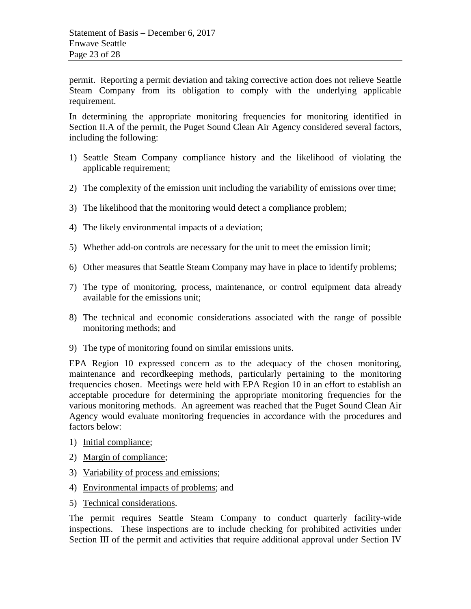permit. Reporting a permit deviation and taking corrective action does not relieve Seattle Steam Company from its obligation to comply with the underlying applicable requirement.

In determining the appropriate monitoring frequencies for monitoring identified in Section II.A of the permit, the Puget Sound Clean Air Agency considered several factors, including the following:

- 1) Seattle Steam Company compliance history and the likelihood of violating the applicable requirement;
- 2) The complexity of the emission unit including the variability of emissions over time;
- 3) The likelihood that the monitoring would detect a compliance problem;
- 4) The likely environmental impacts of a deviation;
- 5) Whether add-on controls are necessary for the unit to meet the emission limit;
- 6) Other measures that Seattle Steam Company may have in place to identify problems;
- 7) The type of monitoring, process, maintenance, or control equipment data already available for the emissions unit;
- 8) The technical and economic considerations associated with the range of possible monitoring methods; and
- 9) The type of monitoring found on similar emissions units.

EPA Region 10 expressed concern as to the adequacy of the chosen monitoring, maintenance and recordkeeping methods, particularly pertaining to the monitoring frequencies chosen. Meetings were held with EPA Region 10 in an effort to establish an acceptable procedure for determining the appropriate monitoring frequencies for the various monitoring methods. An agreement was reached that the Puget Sound Clean Air Agency would evaluate monitoring frequencies in accordance with the procedures and factors below:

- 1) Initial compliance;
- 2) Margin of compliance;
- 3) Variability of process and emissions;
- 4) Environmental impacts of problems; and
- 5) Technical considerations.

The permit requires Seattle Steam Company to conduct quarterly facility-wide inspections. These inspections are to include checking for prohibited activities under Section III of the permit and activities that require additional approval under Section IV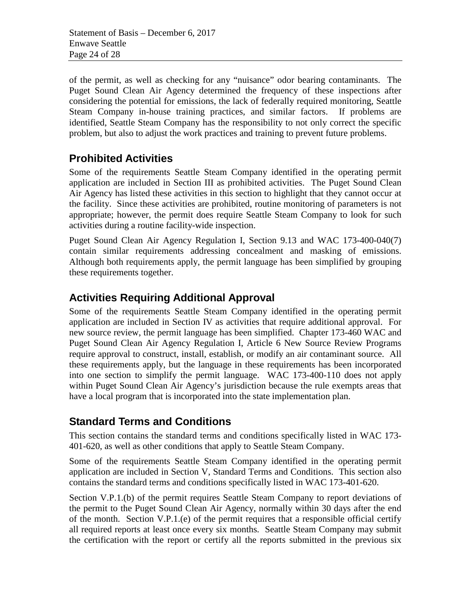of the permit, as well as checking for any "nuisance" odor bearing contaminants. The Puget Sound Clean Air Agency determined the frequency of these inspections after considering the potential for emissions, the lack of federally required monitoring, Seattle Steam Company in-house training practices, and similar factors. If problems are identified, Seattle Steam Company has the responsibility to not only correct the specific problem, but also to adjust the work practices and training to prevent future problems.

# **Prohibited Activities**

Some of the requirements Seattle Steam Company identified in the operating permit application are included in Section III as prohibited activities. The Puget Sound Clean Air Agency has listed these activities in this section to highlight that they cannot occur at the facility. Since these activities are prohibited, routine monitoring of parameters is not appropriate; however, the permit does require Seattle Steam Company to look for such activities during a routine facility-wide inspection.

Puget Sound Clean Air Agency Regulation I, Section 9.13 and WAC 173-400-040(7) contain similar requirements addressing concealment and masking of emissions. Although both requirements apply, the permit language has been simplified by grouping these requirements together.

# **Activities Requiring Additional Approval**

Some of the requirements Seattle Steam Company identified in the operating permit application are included in Section IV as activities that require additional approval. For new source review, the permit language has been simplified. Chapter 173-460 WAC and Puget Sound Clean Air Agency Regulation I, Article 6 New Source Review Programs require approval to construct, install, establish, or modify an air contaminant source. All these requirements apply, but the language in these requirements has been incorporated into one section to simplify the permit language. WAC 173-400-110 does not apply within Puget Sound Clean Air Agency's jurisdiction because the rule exempts areas that have a local program that is incorporated into the state implementation plan.

# **Standard Terms and Conditions**

This section contains the standard terms and conditions specifically listed in WAC 173- 401-620, as well as other conditions that apply to Seattle Steam Company.

Some of the requirements Seattle Steam Company identified in the operating permit application are included in Section V, Standard Terms and Conditions. This section also contains the standard terms and conditions specifically listed in WAC 173-401-620.

Section V.P.1.(b) of the permit requires Seattle Steam Company to report deviations of the permit to the Puget Sound Clean Air Agency, normally within 30 days after the end of the month. Section V.P.1.(e) of the permit requires that a responsible official certify all required reports at least once every six months. Seattle Steam Company may submit the certification with the report or certify all the reports submitted in the previous six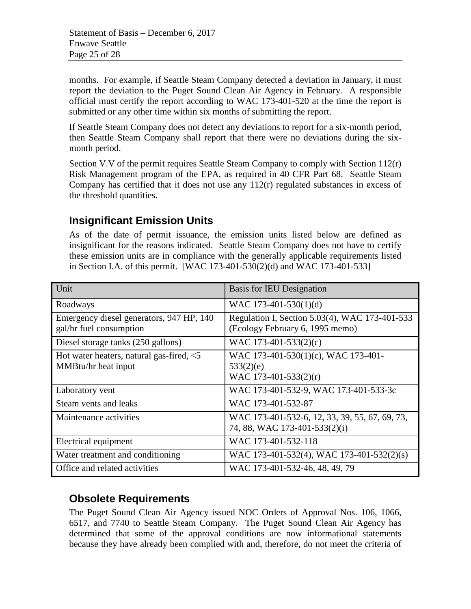months. For example, if Seattle Steam Company detected a deviation in January, it must report the deviation to the Puget Sound Clean Air Agency in February. A responsible official must certify the report according to WAC 173-401-520 at the time the report is submitted or any other time within six months of submitting the report.

If Seattle Steam Company does not detect any deviations to report for a six-month period, then Seattle Steam Company shall report that there were no deviations during the sixmonth period.

Section V.V of the permit requires Seattle Steam Company to comply with Section 112(r) Risk Management program of the EPA, as required in 40 CFR Part 68. Seattle Steam Company has certified that it does not use any 112(r) regulated substances in excess of the threshold quantities.

## **Insignificant Emission Units**

As of the date of permit issuance, the emission units listed below are defined as insignificant for the reasons indicated. Seattle Steam Company does not have to certify these emission units are in compliance with the generally applicable requirements listed in Section I.A. of this permit. [WAC 173-401-530(2)(d) and WAC 173-401-533]

| Unit                                        | <b>Basis for IEU Designation</b>               |
|---------------------------------------------|------------------------------------------------|
| Roadways                                    | WAC 173-401-530(1)(d)                          |
| Emergency diesel generators, 947 HP, 140    | Regulation I, Section 5.03(4), WAC 173-401-533 |
| gal/hr fuel consumption                     | (Ecology February 6, 1995 memo)                |
| Diesel storage tanks (250 gallons)          | WAC 173-401-533 $(2)(c)$                       |
| Hot water heaters, natural gas-fired, $<$ 5 | WAC 173-401-530(1)(c), WAC 173-401-            |
| MMBtu/hr heat input                         | 533(2)(e)                                      |
|                                             | WAC 173-401-533(2)(r)                          |
| Laboratory vent                             | WAC 173-401-532-9, WAC 173-401-533-3c          |
| Steam vents and leaks                       | WAC 173-401-532-87                             |
| Maintenance activities                      | WAC 173-401-532-6, 12, 33, 39, 55, 67, 69, 73, |
|                                             | 74, 88, WAC 173-401-533(2)(i)                  |
| Electrical equipment                        | WAC 173-401-532-118                            |
| Water treatment and conditioning            | WAC 173-401-532(4), WAC 173-401-532(2)(s)      |
| Office and related activities               | WAC 173-401-532-46, 48, 49, 79                 |

# **Obsolete Requirements**

The Puget Sound Clean Air Agency issued NOC Orders of Approval Nos. 106, 1066, 6517, and 7740 to Seattle Steam Company. The Puget Sound Clean Air Agency has determined that some of the approval conditions are now informational statements because they have already been complied with and, therefore, do not meet the criteria of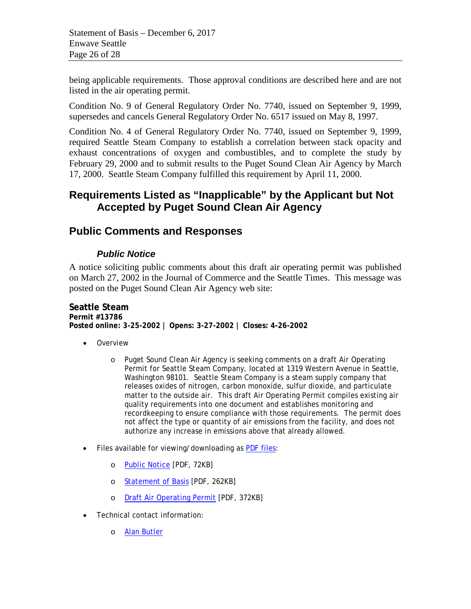being applicable requirements. Those approval conditions are described here and are not listed in the air operating permit.

Condition No. 9 of General Regulatory Order No. 7740, issued on September 9, 1999, supersedes and cancels General Regulatory Order No. 6517 issued on May 8, 1997.

Condition No. 4 of General Regulatory Order No. 7740, issued on September 9, 1999, required Seattle Steam Company to establish a correlation between stack opacity and exhaust concentrations of oxygen and combustibles, and to complete the study by February 29, 2000 and to submit results to the Puget Sound Clean Air Agency by March 17, 2000. Seattle Steam Company fulfilled this requirement by April 11, 2000.

## **Requirements Listed as "Inapplicable" by the Applicant but Not Accepted by Puget Sound Clean Air Agency**

## **Public Comments and Responses**

## *Public Notice*

A notice soliciting public comments about this draft air operating permit was published on March 27, 2002 in the Journal of Commerce and the Seattle Times. This message was posted on the Puget Sound Clean Air Agency web site:

**Seattle Steam Permit #13786 Posted online: 3-25-2002 | Opens: 3-27-2002 | Closes: 4-26-2002**

- Overview
	- o Puget Sound Clean Air Agency is seeking comments on a draft Air Operating Permit for Seattle Steam Company, located at 1319 Western Avenue in Seattle, Washington 98101. Seattle Steam Company is a steam supply company that releases oxides of nitrogen, carbon monoxide, sulfur dioxide, and particulate matter to the outside air. This draft Air Operating Permit compiles existing air quality requirements into one document and establishes monitoring and recordkeeping to ensure compliance with those requirements. The permit does not affect the type or quantity of air emissions from the facility, and does not authorize any increase in emissions above that already allowed.
- Files available for viewing/downloading as [PDF files:](http://www.pscleanair.org/howto/accessibility.shtml#adobe_acrobat_reader)
	- o [Public Notice](http://www.pscleanair.org/news/permits/13786-pn.pdf) [PDF, 72KB]
	- o [Statement of Basis](http://www.pscleanair.org/news/permits/13786-dsob.pdf) [PDF, 262KB]
	- o [Draft Air Operating Permit](http://www.pscleanair.org/news/permits/13786-daop.pdf) [PDF, 372KB]
- Technical contact information:
	- o [Alan Butler](http://www.pscleanair.org/howto/staffdir.shtml#AlanButler)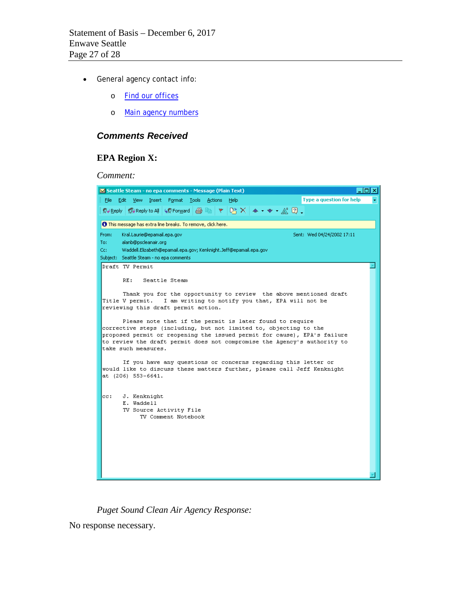- General agency contact info:
	- o [Find our offices](http://www.pscleanair.org/howto/ouroffice.shtml)
	- o [Main agency numbers](http://www.pscleanair.org/howto/agencynumbers.shtml)

#### *Comments Received*

#### **EPA Region X:**

*Comment:*



*Puget Sound Clean Air Agency Response:* 

No response necessary.